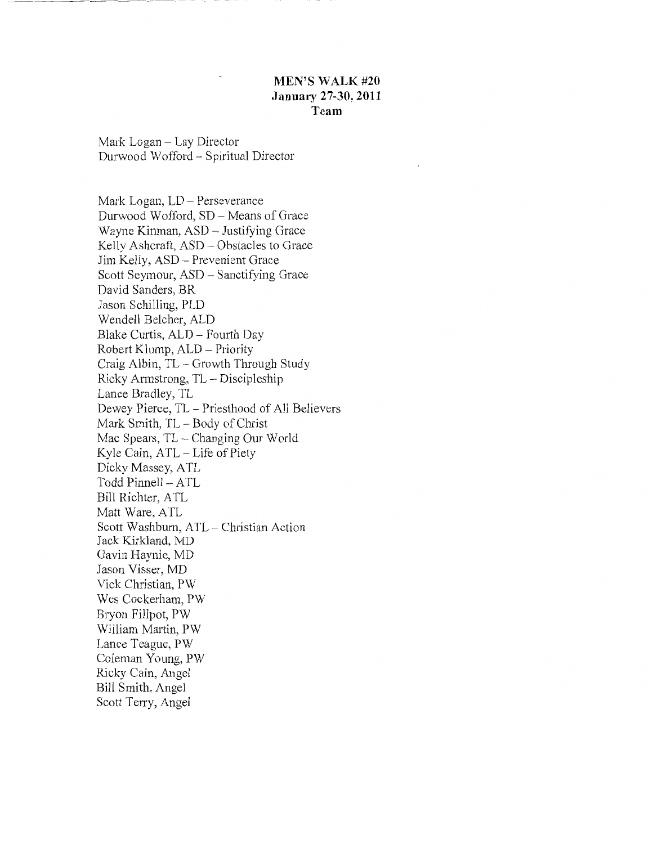## **MEN'S WALK #20 January 27-30, 2011 Team**

Mark Logan- Lay Director Durwood Wafford - Spiritual Director

Mark Logan, LD - Perseverance Durwood Wafford, SD - Means of Grace Wayne Kinman, ASD- Justifying Grace Kelly Ashcraft, ASD - Obstacles to Grace Jim Kelly, ASD- Prevenient Grace Scott Seymour, ASD - Sanctifying Grace David Sanders, BR Jason Schilling, PLD Wendell Belcher, ALD Blake Curtis, ALD - Fourth Day Robert Klump, ALD- Priority Craig Albin, TL- Growth Through Study Ricky Armstrong, TL- Discipleship Lance Bradley, TL Dewey Pierce, TL - Priesthood of All Believers Mark Smith, TL- Body of Christ Mac Spears, TL - Changing Our World Kyle Cain, ATL- Life of Piety Dicky Massey, ATL Todd Pinnell - ATL Bill Richter, ATL Matt Ware, ATL Scott Washburn, ATL - Christian Action Jack Kirkland, MD Gavin Haynie, MD Jason Visser, MD Vick Christian, PW Wes Cockerham, PW Bryon Fillpot, PW William Martin, PW Lance Teague, PW Coleman Young, PW Ricky Cain, Angel Bill Smith, Angel Scott Terry, Angel